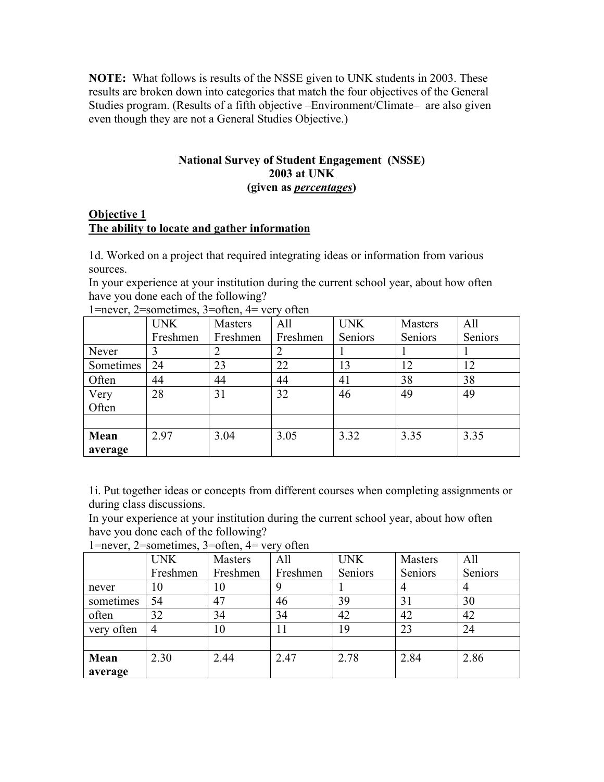**NOTE:** What follows is results of the NSSE given to UNK students in 2003. These results are broken down into categories that match the four objectives of the General Studies program. (Results of a fifth objective –Environment/Climate– are also given even though they are not a General Studies Objective.)

## **National Survey of Student Engagement (NSSE) 2003 at UNK (given as** *percentages***)**

## **Objective 1 The ability to locate and gather information**

1d. Worked on a project that required integrating ideas or information from various sources.

In your experience at your institution during the current school year, about how often have you done each of the following?

|           | <b>UNK</b> | Masters  | All      | <b>UNK</b> | Masters | All     |
|-----------|------------|----------|----------|------------|---------|---------|
|           | Freshmen   | Freshmen | Freshmen | Seniors    | Seniors | Seniors |
| Never     | 3          |          |          |            |         |         |
| Sometimes | 24         | 23       | 22       | 13         | 12      | 12      |
| Often     | 44         | 44       | 44       | 41         | 38      | 38      |
| Very      | 28         | 31       | 32       | 46         | 49      | 49      |
| Often     |            |          |          |            |         |         |
|           |            |          |          |            |         |         |
| Mean      | 2.97       | 3.04     | 3.05     | 3.32       | 3.35    | 3.35    |
| average   |            |          |          |            |         |         |

1=never, 2=sometimes, 3=often, 4= very often

1i. Put together ideas or concepts from different courses when completing assignments or during class discussions.

In your experience at your institution during the current school year, about how often have you done each of the following?

|            | <b>UNK</b> | Masters  | All      | <b>UNK</b> | Masters | All     |
|------------|------------|----------|----------|------------|---------|---------|
|            | Freshmen   | Freshmen | Freshmen | Seniors    | Seniors | Seniors |
| never      | 10         | 10       | 9        |            |         |         |
| sometimes  | 54         | 47       | 46       | 39         | 31      | 30      |
| often      | 32         | 34       | 34       | 42         | 42      | 42      |
| very often | 4          | 10       | 11       | 19         | 23      | 24      |
|            |            |          |          |            |         |         |
| Mean       | 2.30       | 2.44     | 2.47     | 2.78       | 2.84    | 2.86    |
| average    |            |          |          |            |         |         |

1=never, 2=sometimes, 3=often, 4= very often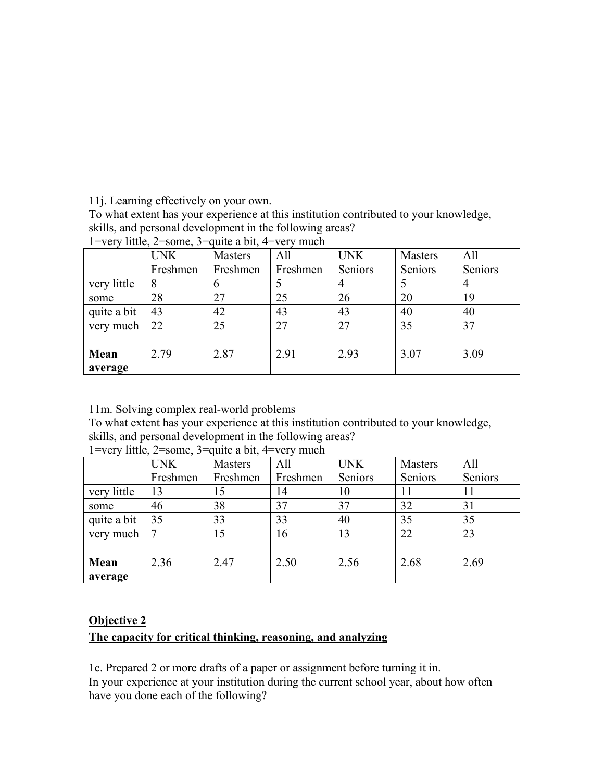11j. Learning effectively on your own.

To what extent has your experience at this institution contributed to your knowledge, skills, and personal development in the following areas?

|             | <b>UNK</b> | Masters       | All      | <b>UNK</b> | Masters | All     |
|-------------|------------|---------------|----------|------------|---------|---------|
|             | Freshmen   | Freshmen      | Freshmen | Seniors    | Seniors | Seniors |
| very little | 8          | $\mathfrak b$ |          |            |         |         |
| some        | 28         | 27            | 25       | 26         | 20      | 19      |
| quite a bit | 43         | 42            | 43       | 43         | 40      | 40      |
| very much   | 22         | 25            | 27       | 27         | 35      | 37      |
|             |            |               |          |            |         |         |
| Mean        | 2.79       | 2.87          | 2.91     | 2.93       | 3.07    | 3.09    |
| average     |            |               |          |            |         |         |

1=very little,  $2$ =some,  $3=$ quite a bit, 4=very much

11m. Solving complex real-world problems

To what extent has your experience at this institution contributed to your knowledge, skills, and personal development in the following areas?

|             | <b>UNK</b> | Masters  | All      | <b>UNK</b> | Masters | All     |
|-------------|------------|----------|----------|------------|---------|---------|
|             | Freshmen   | Freshmen | Freshmen | Seniors    | Seniors | Seniors |
| very little | 13         | 15       | 14       | 10         | 11      | 11      |
| some        | 46         | 38       | 37       | 37         | 32      | 31      |
| quite a bit | 35         | 33       | 33       | 40         | 35      | 35      |
| very much   |            | 15       | 16       | 13         | 22      | 23      |
|             |            |          |          |            |         |         |
| Mean        | 2.36       | 2.47     | 2.50     | 2.56       | 2.68    | 2.69    |
| average     |            |          |          |            |         |         |

1=very little, 2=some, 3=quite a bit, 4=very much

## **Objective 2**

# **The capacity for critical thinking, reasoning, and analyzing**

1c. Prepared 2 or more drafts of a paper or assignment before turning it in. In your experience at your institution during the current school year, about how often have you done each of the following?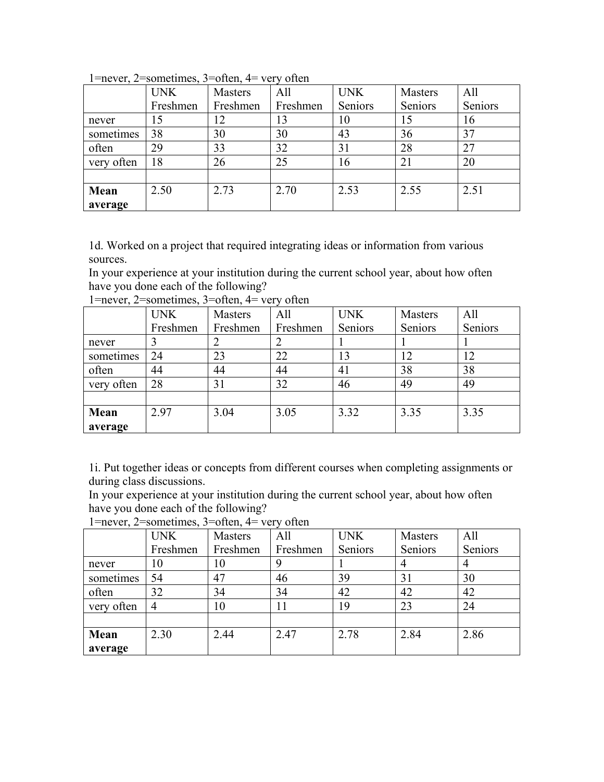|            | <b>UNK</b> | <b>Masters</b> | All      | <b>UNK</b> | Masters | All     |
|------------|------------|----------------|----------|------------|---------|---------|
|            | Freshmen   | Freshmen       | Freshmen | Seniors    | Seniors | Seniors |
| never      | 15         | 12             | 13       | 10         | 15      | 16      |
| sometimes  | 38         | 30             | 30       | 43         | 36      | 37      |
| often      | 29         | 33             | 32       | 31         | 28      | 27      |
| very often | 18         | 26             | 25       | 16         | 21      | 20      |
|            |            |                |          |            |         |         |
| Mean       | 2.50       | 2.73           | 2.70     | 2.53       | 2.55    | 2.51    |
| average    |            |                |          |            |         |         |

1=never, 2=sometimes, 3=often, 4= very often

1d. Worked on a project that required integrating ideas or information from various sources.

In your experience at your institution during the current school year, about how often have you done each of the following?

|            | <b>UNK</b> | Masters  | All      | <b>UNK</b> | Masters | All     |
|------------|------------|----------|----------|------------|---------|---------|
|            | Freshmen   | Freshmen | Freshmen | Seniors    | Seniors | Seniors |
| never      |            | ◠        |          |            |         |         |
| sometimes  | 24         | 23       | 22       | 13         |         | 12      |
| often      | 44         | 44       | 44       | 41         | 38      | 38      |
| very often | 28         | 31       | 32       | 46         | 49      | 49      |
|            |            |          |          |            |         |         |
| Mean       | 2.97       | 3.04     | 3.05     | 3.32       | 3.35    | 3.35    |
| average    |            |          |          |            |         |         |

1=never, 2=sometimes, 3=often, 4= very often

1i. Put together ideas or concepts from different courses when completing assignments or during class discussions.

In your experience at your institution during the current school year, about how often have you done each of the following?

| $\mathbf{r}$ not $\mathbf{v}_1$ , $\mathbf{r}$ both cannot $\mathbf{v}_2$ , $\mathbf{v}_3$ of $\mathbf{v}_4$<br>$\cdots$ |                |          |          |            |                |         |  |  |
|--------------------------------------------------------------------------------------------------------------------------|----------------|----------|----------|------------|----------------|---------|--|--|
|                                                                                                                          | <b>UNK</b>     | Masters  | All      | <b>UNK</b> | <b>Masters</b> | All     |  |  |
|                                                                                                                          | Freshmen       | Freshmen | Freshmen | Seniors    | Seniors        | Seniors |  |  |
| never                                                                                                                    | 10             | 10       |          |            | $\overline{4}$ |         |  |  |
| sometimes                                                                                                                | 54             | 47       | 46       | 39         | 31             | 30      |  |  |
| often                                                                                                                    | 32             | 34       | 34       | 42         | 42             | 42      |  |  |
| very often                                                                                                               | $\overline{4}$ | 10       | 11       | 19         | 23             | 24      |  |  |
|                                                                                                                          |                |          |          |            |                |         |  |  |
| Mean                                                                                                                     | 2.30           | 2.44     | 2.47     | 2.78       | 2.84           | 2.86    |  |  |
| average                                                                                                                  |                |          |          |            |                |         |  |  |

 $1=$ never,  $2=$ sometimes,  $3=$ often,  $4=$  very often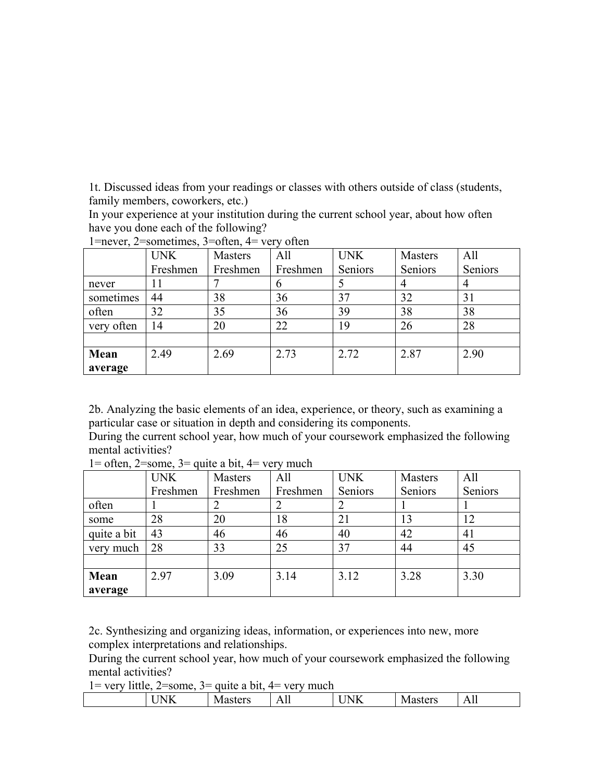1t. Discussed ideas from your readings or classes with others outside of class (students, family members, coworkers, etc.)

In your experience at your institution during the current school year, about how often have you done each of the following?

|            | <b>UNK</b> | Masters  | All      | <b>UNK</b> | <b>Masters</b> | All     |
|------------|------------|----------|----------|------------|----------------|---------|
|            | Freshmen   | Freshmen | Freshmen | Seniors    | Seniors        | Seniors |
| never      | Ħ          |          | n        |            |                |         |
| sometimes  | 44         | 38       | 36       | 37         | 32             | 31      |
| often      | 32         | 35       | 36       | 39         | 38             | 38      |
| very often | 14         | 20       | 22       | 19         | 26             | 28      |
|            |            |          |          |            |                |         |
| Mean       | 2.49       | 2.69     | 2.73     | 2.72       | 2.87           | 2.90    |
| average    |            |          |          |            |                |         |

1=never, 2=sometimes, 3=often,  $4=$  very often

2b. Analyzing the basic elements of an idea, experience, or theory, such as examining a particular case or situation in depth and considering its components.

During the current school year, how much of your coursework emphasized the following mental activities?

|             | <b>UNK</b> | Masters  | All      | <b>UNK</b> | Masters | All     |
|-------------|------------|----------|----------|------------|---------|---------|
|             | Freshmen   | Freshmen | Freshmen | Seniors    | Seniors | Seniors |
| often       |            |          |          |            |         |         |
| some        | 28         | 20       | 18       | 21         | 13      | 12      |
| quite a bit | 43         | 46       | 46       | 40         | 42      | 41      |
| very much   | 28         | 33       | 25       | 37         | 44      | 45      |
|             |            |          |          |            |         |         |
| Mean        | 2.97       | 3.09     | 3.14     | 3.12       | 3.28    | 3.30    |
| average     |            |          |          |            |         |         |

 $1=$  often,  $2=$ some,  $3=$  quite a bit,  $4=$  very much

2c. Synthesizing and organizing ideas, information, or experiences into new, more complex interpretations and relationships.

During the current school year, how much of your coursework emphasized the following mental activities?

| . | --                                 | ------<br>.<br>__                | .                              |                                                  |                                        |                                    |
|---|------------------------------------|----------------------------------|--------------------------------|--------------------------------------------------|----------------------------------------|------------------------------------|
|   | $-$<br>n<br><b>ATT</b><br><b>.</b> | $r \Delta r c$<br>IV.<br>ιαδιτιδ | $\mathbf{r}$<br>$\overline{1}$ | ---<br>.<br>◡<br>$\overline{\phantom{a}}$<br>$-$ | $\sim$ $\sim$ $\sim$<br>IV.<br>7 U I S | $\overline{\phantom{a}}$<br>∽<br>. |
|   |                                    |                                  |                                |                                                  |                                        |                                    |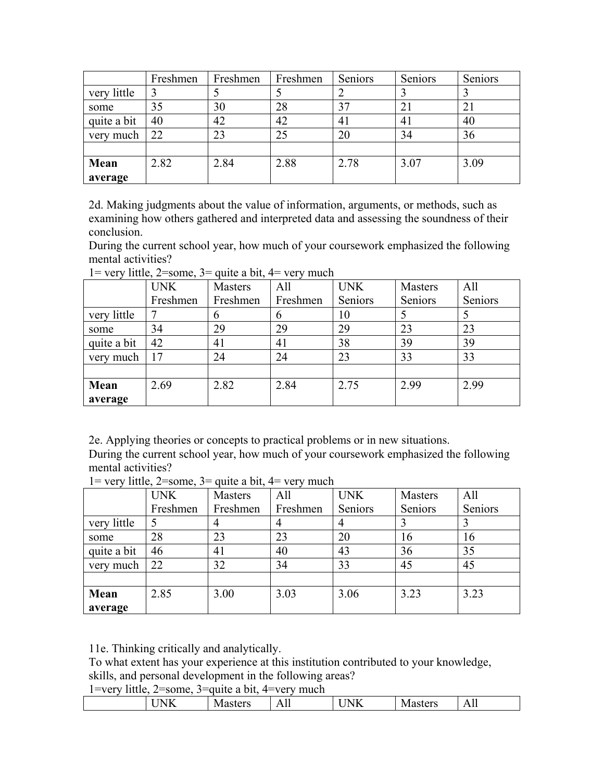|             | Freshmen | Freshmen | Freshmen | Seniors | Seniors        | Seniors |
|-------------|----------|----------|----------|---------|----------------|---------|
| very little |          |          |          |         |                |         |
| some        | 35       | 30       | 28       | 37      | 21             | 21      |
| quite a bit | 40       | 42       | 42       | 41      | 4 <sub>1</sub> | 40      |
| very much   | 22       | 23       | 25       | 20      | 34             | 36      |
|             |          |          |          |         |                |         |
| Mean        | 2.82     | 2.84     | 2.88     | 2.78    | 3.07           | 3.09    |
| average     |          |          |          |         |                |         |

2d. Making judgments about the value of information, arguments, or methods, such as examining how others gathered and interpreted data and assessing the soundness of their conclusion.

During the current school year, how much of your coursework emphasized the following mental activities?

|             | <b>UNK</b> | Masters       | All      | <b>UNK</b> | Masters | All     |
|-------------|------------|---------------|----------|------------|---------|---------|
|             | Freshmen   | Freshmen      | Freshmen | Seniors    | Seniors | Seniors |
| very little |            | $\mathfrak b$ | 6        | 10         |         |         |
| some        | 34         | 29            | 29       | 29         | 23      | 23      |
| quite a bit | 42         | 41            | 41       | 38         | 39      | 39      |
| very much   | 17         | 24            | 24       | 23         | 33      | 33      |
|             |            |               |          |            |         |         |
| Mean        | 2.69       | 2.82          | 2.84     | 2.75       | 2.99    | 2.99    |
| average     |            |               |          |            |         |         |

 $1 =$  very little,  $2 =$ some,  $3 =$  quite a bit,  $4 =$  very much

2e. Applying theories or concepts to practical problems or in new situations. During the current school year, how much of your coursework emphasized the following mental activities?

|             | <b>UNK</b> | Masters        | All      | <b>UNK</b> | Masters | All     |
|-------------|------------|----------------|----------|------------|---------|---------|
|             | Freshmen   | Freshmen       | Freshmen | Seniors    | Seniors | Seniors |
| very little |            | $\overline{4}$ | 4        |            |         |         |
| some        | 28         | 23             | 23       | 20         | 16      | 16      |
| quite a bit | 46         | 41             | 40       | 43         | 36      | 35      |
| very much   | 22         | 32             | 34       | 33         | 45      | 45      |
|             |            |                |          |            |         |         |
| Mean        | 2.85       | 3.00           | 3.03     | 3.06       | 3.23    | 3.23    |
| average     |            |                |          |            |         |         |

 $1 =$  very little,  $2 =$ some,  $3 =$  quite a bit,  $4 =$  very much

11e. Thinking critically and analytically.

To what extent has your experience at this institution contributed to your knowledge,

skills, and personal development in the following areas?

| $\mathbf{r}$<br>-<br>____<br>---                                                                                                                                                                                                                                                                                     |  |  |  |  |
|----------------------------------------------------------------------------------------------------------------------------------------------------------------------------------------------------------------------------------------------------------------------------------------------------------------------|--|--|--|--|
| B<br>n<br>$\mathbf{r} \cap \mathbf{r}$<br>- -- -<br>$\overline{\phantom{a}}$<br>$\bf{N}$<br>'N<br>. .<br>. .<br>$\mathbf{r}$<br>$\mathbf{1}$<br>$\overline{111}$<br>--- <b>-------</b><br>. .<br><b>.</b><br>-<br>the contract of the contract of the contract of<br>the contract of the contract of the contract of |  |  |  |  |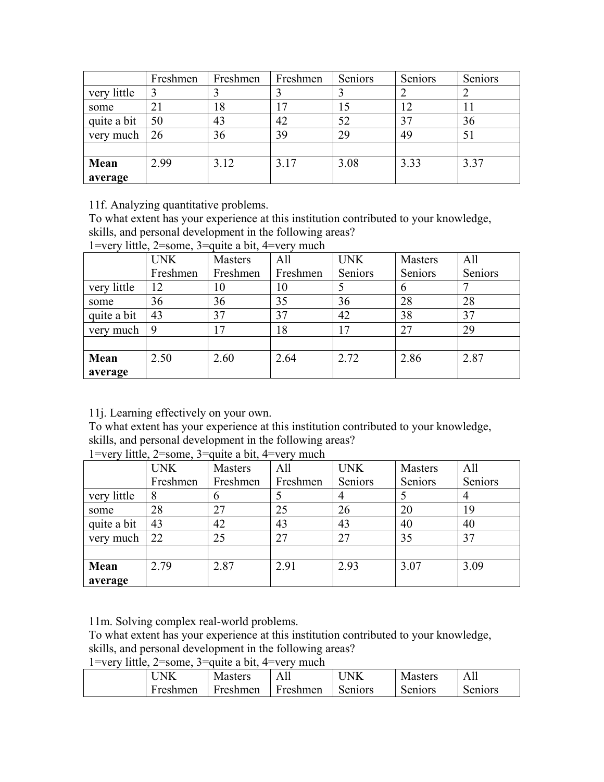|             | Freshmen | Freshmen | Freshmen | Seniors | Seniors | Seniors |
|-------------|----------|----------|----------|---------|---------|---------|
| very little |          |          |          |         |         |         |
| some        | 21       | 18       | 17       | 15      |         | 11      |
| quite a bit | 50       | 43       | 42       | 52      | 37      | 36      |
| very much   | 26       | 36       | 39       | 29      | 49      | 51      |
|             |          |          |          |         |         |         |
| Mean        | 2.99     | 3.12     | 3.17     | 3.08    | 3.33    | 3.37    |
| average     |          |          |          |         |         |         |

11f. Analyzing quantitative problems.

To what extent has your experience at this institution contributed to your knowledge, skills, and personal development in the following areas?

1=very little, 2=some, 3=quite a bit, 4=very much

|             | <b>UNK</b> | <b>Masters</b> | All      | <b>UNK</b> | <b>Masters</b> | All     |
|-------------|------------|----------------|----------|------------|----------------|---------|
|             | Freshmen   | Freshmen       | Freshmen | Seniors    | Seniors        | Seniors |
| very little | 12         | 10             | 10       |            | 6              |         |
| some        | 36         | 36             | 35       | 36         | 28             | 28      |
| quite a bit | 43         | 37             | 37       | 42         | 38             | 37      |
| very much   | 9          | 17             | 18       | 17         | 27             | 29      |
|             |            |                |          |            |                |         |
| Mean        | 2.50       | 2.60           | 2.64     | 2.72       | 2.86           | 2.87    |
| average     |            |                |          |            |                |         |

11j. Learning effectively on your own.

To what extent has your experience at this institution contributed to your knowledge, skills, and personal development in the following areas?

|  | 1=very little, $2$ =some, $3$ =quite a bit, $4$ =very much |
|--|------------------------------------------------------------|

|             | <b>UNK</b> | Masters  | All      | <b>UNK</b> | Masters | All     |
|-------------|------------|----------|----------|------------|---------|---------|
|             | Freshmen   | Freshmen | Freshmen | Seniors    | Seniors | Seniors |
| very little | 8          | 6        |          |            |         |         |
| some        | 28         | 27       | 25       | 26         | 20      | 19      |
| quite a bit | 43         | 42       | 43       | 43         | 40      | 40      |
| very much   | 22         | 25       | 27       | 27         | 35      | 37      |
|             |            |          |          |            |         |         |
| Mean        | 2.79       | 2.87     | 2.91     | 2.93       | 3.07    | 3.09    |
| average     |            |          |          |            |         |         |

11m. Solving complex real-world problems.

To what extent has your experience at this institution contributed to your knowledge,

skills, and personal development in the following areas?

| N<br>NЛ  | <b>Masters</b> | Ah       | 'NK     | <b>Masters</b> | All     |
|----------|----------------|----------|---------|----------------|---------|
| Freshmen | Freshmen       | Freshmen | Seniors | Seniors        | Seniors |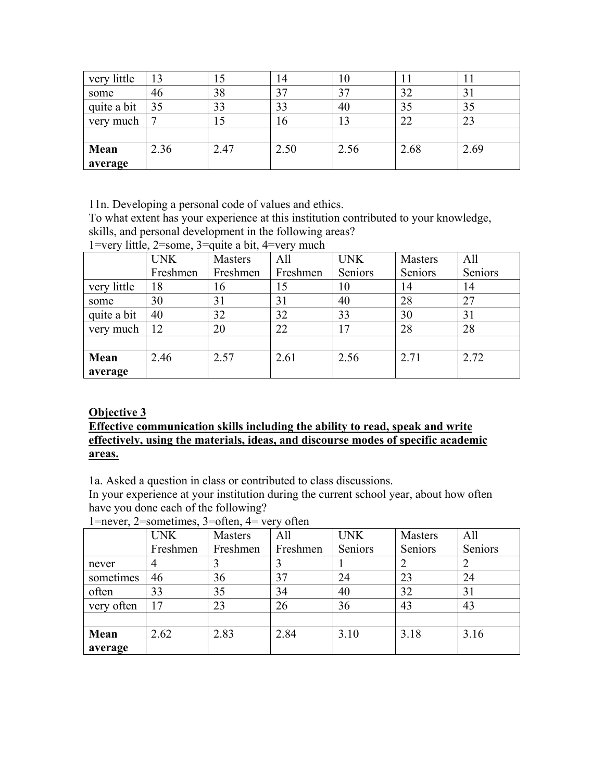| very little | 13   | IJ   | 14   | 10   |      | 11   |
|-------------|------|------|------|------|------|------|
| some        | 46   | 38   | 37   | 37   | 32   | 31   |
| quite a bit | 35   | 33   | 33   | 40   | 35   | 35   |
| very much   |      | 15   | 16   |      | 22   | 23   |
|             |      |      |      |      |      |      |
| Mean        | 2.36 | 2.47 | 2.50 | 2.56 | 2.68 | 2.69 |
| average     |      |      |      |      |      |      |

11n. Developing a personal code of values and ethics.

To what extent has your experience at this institution contributed to your knowledge, skills, and personal development in the following areas?

1=very little, 2=some, 3=quite a bit, 4=very much

|             | <b>UNK</b> | Masters  | All      | <b>UNK</b> | Masters | All     |
|-------------|------------|----------|----------|------------|---------|---------|
|             | Freshmen   | Freshmen | Freshmen | Seniors    | Seniors | Seniors |
| very little | 18         | 16       | 15       | 10         | 14      | 14      |
| some        | 30         | 31       | 31       | 40         | 28      | 27      |
| quite a bit | 40         | 32       | 32       | 33         | 30      | 31      |
| very much   | 12         | 20       | 22       | 17         | 28      | 28      |
|             |            |          |          |            |         |         |
| Mean        | 2.46       | 2.57     | 2.61     | 2.56       | 2.71    | 2.72    |
| average     |            |          |          |            |         |         |

## **Objective 3**

#### **Effective communication skills including the ability to read, speak and write effectively, using the materials, ideas, and discourse modes of specific academic areas.**

1a. Asked a question in class or contributed to class discussions.

In your experience at your institution during the current school year, about how often have you done each of the following?

1=never, 2=sometimes, 3=often, 4= very often

|            | <b>UNK</b> | Masters  | All      | <b>UNK</b> | Masters | All     |
|------------|------------|----------|----------|------------|---------|---------|
|            | Freshmen   | Freshmen | Freshmen | Seniors    | Seniors | Seniors |
| never      |            |          |          |            |         |         |
| sometimes  | 46         | 36       | 37       | 24         | 23      | 24      |
| often      | 33         | 35       | 34       | 40         | 32      | 31      |
| very often | 17         | 23       | 26       | 36         | 43      | 43      |
|            |            |          |          |            |         |         |
| Mean       | 2.62       | 2.83     | 2.84     | 3.10       | 3.18    | 3.16    |
| average    |            |          |          |            |         |         |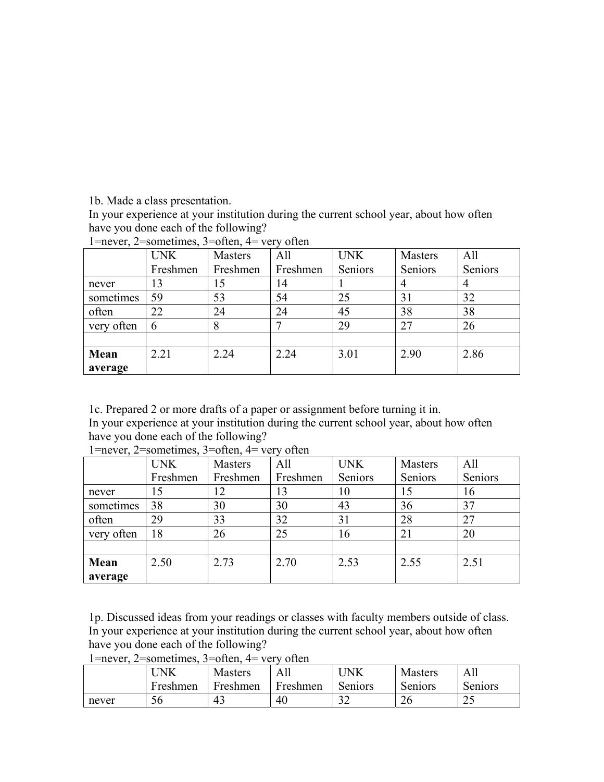1b. Made a class presentation.

In your experience at your institution during the current school year, about how often have you done each of the following?

|            | $\mathbf{r}$ and $\mathbf{r}$ and $\mathbf{r}$ defined in $\mathbf{r}$ and $\mathbf{r}$ and $\mathbf{r}$ and $\mathbf{r}$ are $\mathbf{r}$ and $\mathbf{r}$ are $\mathbf{r}$ and $\mathbf{r}$ are $\mathbf{r}$ and $\mathbf{r}$ are $\mathbf{r}$ and $\mathbf{r}$ are $\mathbf{r}$ and $\mathbf{r$<br><b>UNK</b> | <b>Masters</b> | All      | <b>UNK</b> | <b>Masters</b> | All     |
|------------|------------------------------------------------------------------------------------------------------------------------------------------------------------------------------------------------------------------------------------------------------------------------------------------------------------------|----------------|----------|------------|----------------|---------|
|            | Freshmen                                                                                                                                                                                                                                                                                                         | Freshmen       | Freshmen | Seniors    | Seniors        | Seniors |
| never      | 13                                                                                                                                                                                                                                                                                                               | 15             | 14       |            |                |         |
| sometimes  | 59                                                                                                                                                                                                                                                                                                               | 53             | 54       | 25         | 31             | 32      |
| often      | 22                                                                                                                                                                                                                                                                                                               | 24             | 24       | 45         | 38             | 38      |
| very often | 6                                                                                                                                                                                                                                                                                                                |                |          | 29         | 27             | 26      |
|            |                                                                                                                                                                                                                                                                                                                  |                |          |            |                |         |
| Mean       | 2.21                                                                                                                                                                                                                                                                                                             | 2.24           | 2.24     | 3.01       | 2.90           | 2.86    |
| average    |                                                                                                                                                                                                                                                                                                                  |                |          |            |                |         |

1=never, 2=sometimes, 3=often,  $4=$  very often

1c. Prepared 2 or more drafts of a paper or assignment before turning it in. In your experience at your institution during the current school year, about how often have you done each of the following?

|            | <b>UNK</b> | <b>Masters</b> | All      | <b>UNK</b> | <b>Masters</b> | All     |
|------------|------------|----------------|----------|------------|----------------|---------|
|            | Freshmen   | Freshmen       | Freshmen | Seniors    | Seniors        | Seniors |
| never      | 15         |                | 13       | 10         | 15             | 16      |
| sometimes  | 38         | 30             | 30       | 43         | 36             | 37      |
| often      | 29         | 33             | 32       | 31         | 28             | 27      |
| very often | 18         | 26             | 25       | 16         | 21             | 20      |
|            |            |                |          |            |                |         |
| Mean       | 2.50       | 2.73           | 2.70     | 2.53       | 2.55           | 2.51    |
| average    |            |                |          |            |                |         |

1=never, 2=sometimes, 3=often, 4= very often

1p. Discussed ideas from your readings or classes with faculty members outside of class. In your experience at your institution during the current school year, about how often have you done each of the following?

1=never, 2=sometimes, 3=often, 4= very often

|       | JNK      | <b>Masters</b> | All      | ' JNK      | <b>Masters</b> | -AL            |
|-------|----------|----------------|----------|------------|----------------|----------------|
|       | Freshmen | Freshmen       | Freshmen | Seniors    | Seniors        | <b>Seniors</b> |
| never | эb       | 43             | 40       | n r<br>ے ر | 26             | ر گ            |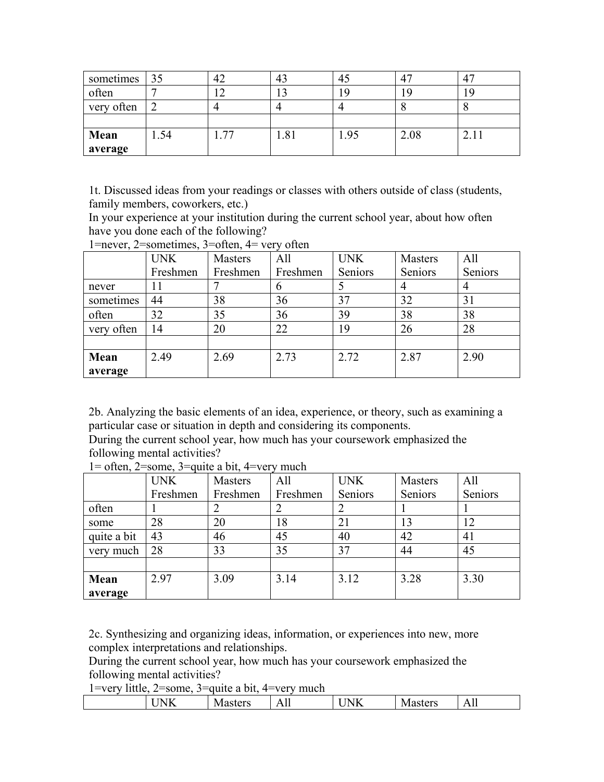| sometimes  | 35   | 42     | 43                | 45   |      |                       |
|------------|------|--------|-------------------|------|------|-----------------------|
| often      |      | $\sim$ | $\sqrt{2}$<br>2 J | O    |      |                       |
| very often |      |        |                   |      |      |                       |
|            |      |        |                   |      |      |                       |
| Mean       | 1.54 | 77     | 1.81              | 1.95 | 2.08 | $\mathcal{D}$<br>2.11 |
| average    |      |        |                   |      |      |                       |

1t. Discussed ideas from your readings or classes with others outside of class (students, family members, coworkers, etc.)

In your experience at your institution during the current school year, about how often have you done each of the following?

| $\mathbf{r}$ | <b>UNK</b> | $\mathbf{u} \cdot \mathbf{v}$ , $\mathbf{v}$ by $\mathbf{u} \cdot \mathbf{v}$ , $\mathbf{v} \cdot \mathbf{v}$ , $\mathbf{v} \cdot \mathbf{v}$ , $\mathbf{v} \cdot \mathbf{v}$ , $\mathbf{v} \cdot \mathbf{v}$<br><b>Masters</b> | All      | <b>UNK</b> | <b>Masters</b> | All     |
|--------------|------------|---------------------------------------------------------------------------------------------------------------------------------------------------------------------------------------------------------------------------------|----------|------------|----------------|---------|
|              | Freshmen   | Freshmen                                                                                                                                                                                                                        | Freshmen | Seniors    | Seniors        | Seniors |
| never        |            |                                                                                                                                                                                                                                 | 6        |            |                |         |
| sometimes    | 44         | 38                                                                                                                                                                                                                              | 36       | 37         | 32             | 31      |
| often        | 32         | 35                                                                                                                                                                                                                              | 36       | 39         | 38             | 38      |
| very often   | 14         | 20                                                                                                                                                                                                                              | 22       | 19         | 26             | 28      |
|              |            |                                                                                                                                                                                                                                 |          |            |                |         |
| Mean         | 2.49       | 2.69                                                                                                                                                                                                                            | 2.73     | 2.72       | 2.87           | 2.90    |
| average      |            |                                                                                                                                                                                                                                 |          |            |                |         |

 $1=$ never,  $2=$ sometimes,  $3=$ often,  $4=$  very often

2b. Analyzing the basic elements of an idea, experience, or theory, such as examining a particular case or situation in depth and considering its components.

During the current school year, how much has your coursework emphasized the following mental activities?

|             | <b>UNK</b> | <b>Masters</b> | All      | <b>UNK</b> | Masters | All     |
|-------------|------------|----------------|----------|------------|---------|---------|
|             | Freshmen   | Freshmen       | Freshmen | Seniors    | Seniors | Seniors |
| often       |            |                |          |            |         |         |
| some        | 28         | 20             | 18       | 21         | 13      | 12      |
| quite a bit | 43         | 46             | 45       | 40         | 42      | 41      |
| very much   | 28         | 33             | 35       | 37         | 44      | 45      |
|             |            |                |          |            |         |         |
| Mean        | 2.97       | 3.09           | 3.14     | 3.12       | 3.28    | 3.30    |
| average     |            |                |          |            |         |         |

1= often, 2=some, 3=quite a bit, 4=very much

2c. Synthesizing and organizing ideas, information, or experiences into new, more complex interpretations and relationships.

During the current school year, how much has your coursework emphasized the following mental activities?

| .<br>N<br>117<br>$\overline{\phantom{a}}$<br>the contract of the contract of the | $-$<br>IV/I<br>ro-<br>, | $\mathbf{r}$<br>$\overline{\phantom{a}}$<br>. .<br>$\bf{11}$ | _____<br>$-$<br>n<br>. | $-1$<br>W<br>.<br>21UCI | -<br>. .<br>$\overline{1}$ |
|----------------------------------------------------------------------------------|-------------------------|--------------------------------------------------------------|------------------------|-------------------------|----------------------------|
|                                                                                  |                         |                                                              |                        |                         |                            |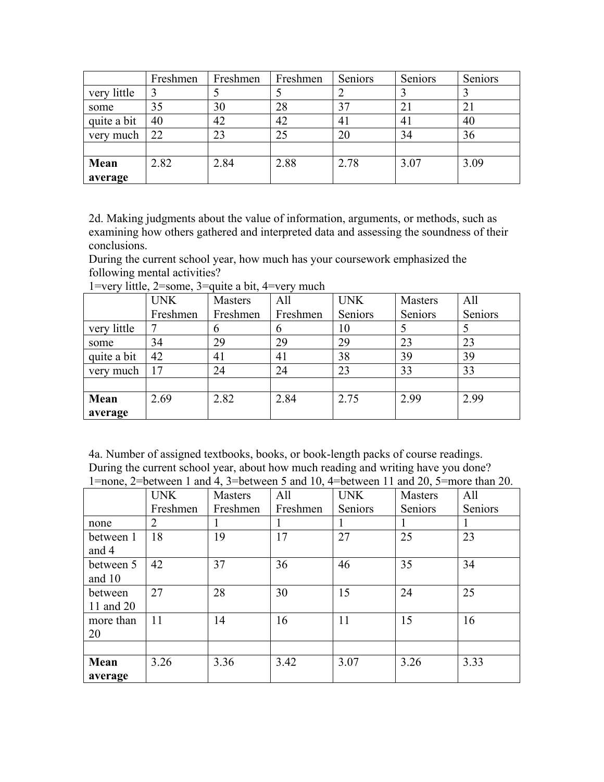|             | Freshmen | Freshmen | Freshmen | Seniors | Seniors | Seniors |
|-------------|----------|----------|----------|---------|---------|---------|
| very little |          |          |          |         |         |         |
| some        | 35       | 30       | 28       | 37      | 21      | 21      |
| quite a bit | 40       | 42       | 42       | 41      | 41      | 40      |
| very much   | 22       | 23       | 25       | 20      | 34      | 36      |
|             |          |          |          |         |         |         |
| Mean        | 2.82     | 2.84     | 2.88     | 2.78    | 3.07    | 3.09    |
| average     |          |          |          |         |         |         |

2d. Making judgments about the value of information, arguments, or methods, such as examining how others gathered and interpreted data and assessing the soundness of their conclusions.

During the current school year, how much has your coursework emphasized the following mental activities?

|             | <b>UNK</b> | Masters       | All      | <b>UNK</b> | Masters | All     |
|-------------|------------|---------------|----------|------------|---------|---------|
|             | Freshmen   | Freshmen      | Freshmen | Seniors    | Seniors | Seniors |
| very little |            | $\mathfrak b$ | 6        | 10         |         |         |
| some        | 34         | 29            | 29       | 29         | 23      | 23      |
| quite a bit | 42         | 41            | 41       | 38         | 39      | 39      |
| very much   | 17         | 24            | 24       | 23         | 33      | 33      |
|             |            |               |          |            |         |         |
| Mean        | 2.69       | 2.82          | 2.84     | 2.75       | 2.99    | 2.99    |
| average     |            |               |          |            |         |         |

1=very little, 2=some, 3=quite a bit, 4=very much

4a. Number of assigned textbooks, books, or book-length packs of course readings. During the current school year, about how much reading and writing have you done? 1=none, 2=between 1 and 4, 3=between 5 and 10, 4=between 11 and 20, 5=more than 20.

|           | <b>UNK</b>     | Masters  | All      | <b>UNK</b> | <b>Masters</b> | All     |
|-----------|----------------|----------|----------|------------|----------------|---------|
|           | Freshmen       | Freshmen | Freshmen | Seniors    | Seniors        | Seniors |
| none      | $\overline{2}$ | 1        |          |            |                |         |
| between 1 | 18             | 19       | 17       | 27         | 25             | 23      |
| and 4     |                |          |          |            |                |         |
| between 5 | 42             | 37       | 36       | 46         | 35             | 34      |
| and 10    |                |          |          |            |                |         |
| between   | 27             | 28       | 30       | 15         | 24             | 25      |
| 11 and 20 |                |          |          |            |                |         |
| more than | 11             | 14       | 16       | 11         | 15             | 16      |
| 20        |                |          |          |            |                |         |
|           |                |          |          |            |                |         |
| Mean      | 3.26           | 3.36     | 3.42     | 3.07       | 3.26           | 3.33    |
| average   |                |          |          |            |                |         |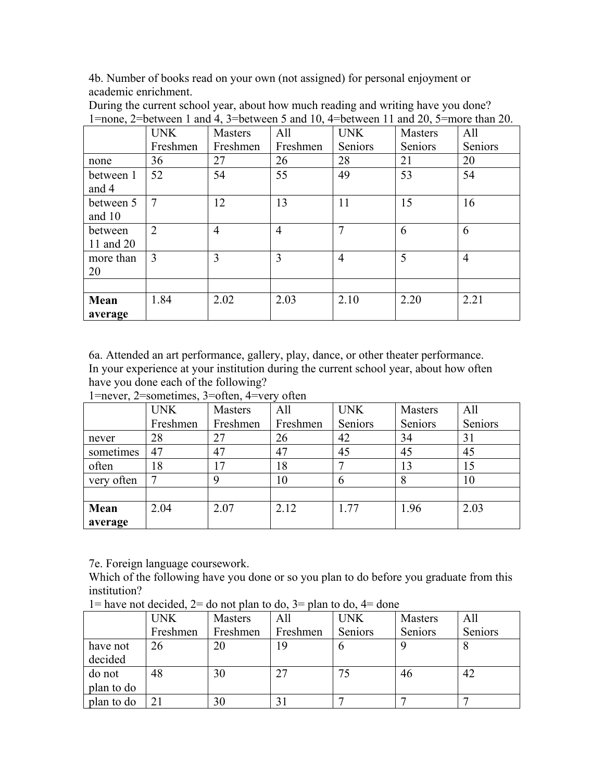4b. Number of books read on your own (not assigned) for personal enjoyment or academic enrichment.

| $1$ from $2$ octwoch T and $\pi$ , D octwoch D and $10$ , $\pi$ foctwoch TT and $20$ , D more than $20$ . |                |                |                |                |                |                |  |  |
|-----------------------------------------------------------------------------------------------------------|----------------|----------------|----------------|----------------|----------------|----------------|--|--|
|                                                                                                           | <b>UNK</b>     | <b>Masters</b> | All            | <b>UNK</b>     | <b>Masters</b> | All            |  |  |
|                                                                                                           | Freshmen       | Freshmen       | Freshmen       | Seniors        | <b>Seniors</b> | Seniors        |  |  |
| none                                                                                                      | 36             | 27             | 26             | 28             | 21             | 20             |  |  |
| between 1<br>and 4                                                                                        | 52             | 54             | 55             | 49             | 53             | 54             |  |  |
| between 5<br>and $10$                                                                                     | $\overline{7}$ | 12             | 13             | 11             | 15             | 16             |  |  |
| between<br>11 and 20                                                                                      | $\overline{2}$ | $\overline{4}$ | $\overline{4}$ | 7              | 6              | 6              |  |  |
| more than<br>20                                                                                           | $\overline{3}$ | 3              | 3              | $\overline{4}$ | 5              | $\overline{4}$ |  |  |
|                                                                                                           |                |                |                |                |                |                |  |  |
| Mean<br>average                                                                                           | 1.84           | 2.02           | 2.03           | 2.10           | 2.20           | 2.21           |  |  |

During the current school year, about how much reading and writing have you done? 1=none, 2=between 1 and 4, 3=between 5 and 10, 4=between 11 and 20, 5=more than 20.

6a. Attended an art performance, gallery, play, dance, or other theater performance. In your experience at your institution during the current school year, about how often have you done each of the following?

|            | <b>UNK</b> | <b>Masters</b> | All      | <b>UNK</b> | <b>Masters</b> | All     |
|------------|------------|----------------|----------|------------|----------------|---------|
|            | Freshmen   | Freshmen       | Freshmen | Seniors    | Seniors        | Seniors |
| never      | 28         | 27             | 26       | 42         | 34             | 31      |
| sometimes  | 47         | 47             | 47       | 45         | 45             | 45      |
| often      | 18         | 17             | 18       |            | 13             | 15      |
| very often |            | 9              | 10       | 6          | 8              | 10      |
|            |            |                |          |            |                |         |
| Mean       | 2.04       | 2.07           | 2.12     | 1.77       | 1.96           | 2.03    |
| average    |            |                |          |            |                |         |

1=never, 2=sometimes, 3=often, 4=very often

7e. Foreign language coursework.

Which of the following have you done or so you plan to do before you graduate from this institution?

|            | <b>UNK</b> | Masters  | All      | <b>UNK</b> | Masters | All     |
|------------|------------|----------|----------|------------|---------|---------|
|            | Freshmen   | Freshmen | Freshmen | Seniors    | Seniors | Seniors |
| have not   | 26         | 20       | 19       |            |         |         |
| decided    |            |          |          |            |         |         |
| do not     | 48         | 30       | 27       | 75         | 46      | 42      |
| plan to do |            |          |          |            |         |         |
| plan to do | 21         | 30       |          |            |         |         |

 $1 =$  have not decided,  $2 =$  do not plan to do,  $3 =$  plan to do,  $4 =$  done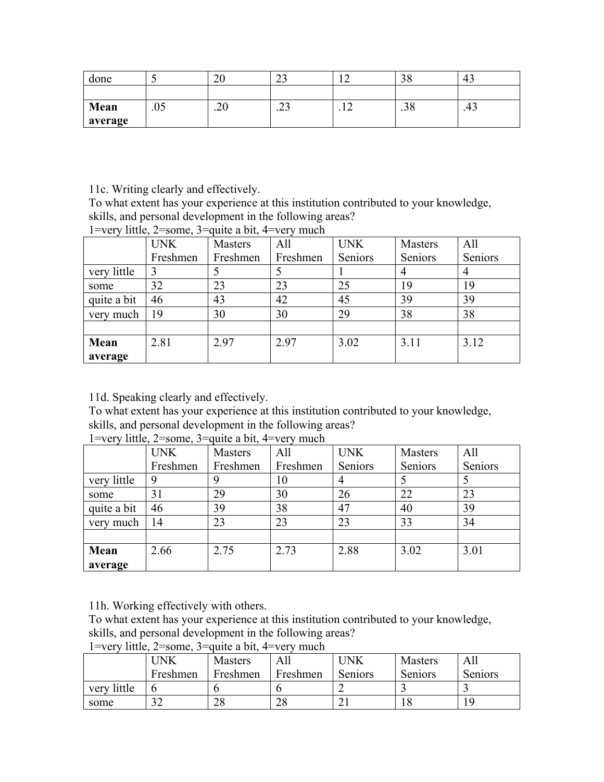| done    |     | ∠∪   | $\sim$<br>ر_ |   | ◡    | $\sqrt{2}$<br>∸<br>т., |
|---------|-----|------|--------------|---|------|------------------------|
|         |     |      |              |   |      |                        |
| Mean    | .05 | ں ∠. | ^^<br>ر بے . | . | .J U | د+.                    |
| average |     |      |              |   |      |                        |

11c. Writing clearly and effectively.

To what extent has your experience at this institution contributed to your knowledge, skills, and personal development in the following areas?

|             | <b>UNK</b> | Masters  | All      | <b>UNK</b> | Masters | All     |
|-------------|------------|----------|----------|------------|---------|---------|
|             | Freshmen   | Freshmen | Freshmen | Seniors    | Seniors | Seniors |
| very little | 3          |          |          |            | 4       | 4       |
| some        | 32         | 23       | 23       | 25         | 19      | 19      |
| quite a bit | 46         | 43       | 42       | 45         | 39      | 39      |
| very much   | 19         | 30       | 30       | 29         | 38      | 38      |
|             |            |          |          |            |         |         |
| Mean        | 2.81       | 2.97     | 2.97     | 3.02       | 3.11    | 3.12    |
| average     |            |          |          |            |         |         |

1=very little, 2=some, 3=quite a bit, 4=very much

11d. Speaking clearly and effectively.

To what extent has your experience at this institution contributed to your knowledge,

skills, and personal development in the following areas?

|             | <b>UNK</b> | <b>Masters</b> | All      | <b>UNK</b> | <b>Masters</b> | All     |
|-------------|------------|----------------|----------|------------|----------------|---------|
|             | Freshmen   | Freshmen       | Freshmen | Seniors    | Seniors        | Seniors |
| very little | 9          |                | 10       |            |                |         |
| some        | 31         | 29             | 30       | 26         | 22             | 23      |
| quite a bit | 46         | 39             | 38       | 47         | 40             | 39      |
| very much   | 14         | 23             | 23       | 23         | 33             | 34      |
|             |            |                |          |            |                |         |
| Mean        | 2.66       | 2.75           | 2.73     | 2.88       | 3.02           | 3.01    |
| average     |            |                |          |            |                |         |

1=very little,  $2$ =some,  $3$ =quite a bit, 4=very much

11h. Working effectively with others.

To what extent has your experience at this institution contributed to your knowledge, skills, and personal development in the following areas?

1=very little,  $2$ =some,  $3$ =quite a bit, 4=very much

| .<br>       | --------   |                | .<br>--------- |            |                |         |
|-------------|------------|----------------|----------------|------------|----------------|---------|
|             | <b>INK</b> | <b>Masters</b> |                | <b>JNK</b> | <b>Masters</b> | Al.     |
|             | Freshmen   | Freshmen       | Freshmen       | Seniors    | Seniors        | Seniors |
| very little |            |                |                |            |                |         |
| some        | 20<br>ے ر  | 20             | 28             | ∠ 1        |                |         |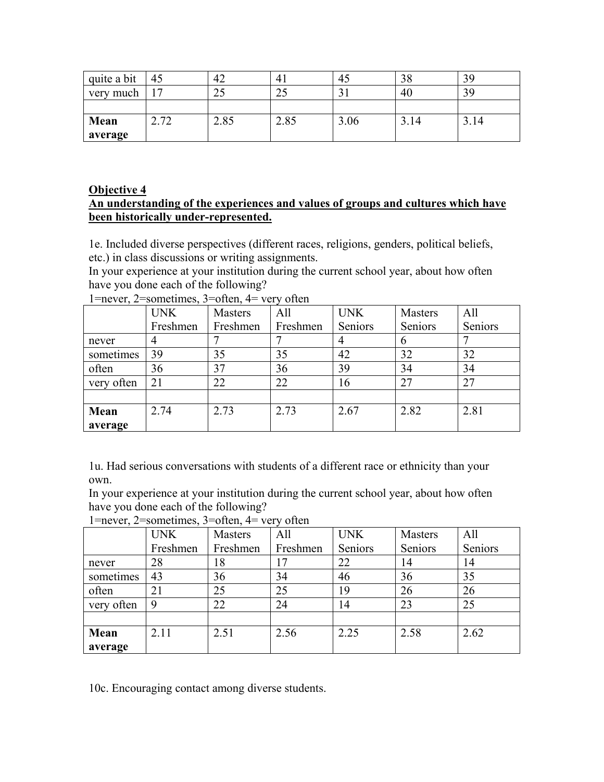| quite a bit | 45   | 42   |                      | 45   | 20   | 39   |
|-------------|------|------|----------------------|------|------|------|
| very much   | Ē    | رے   | $\mathcal{L}$<br>ر ے |      | 40   | 39   |
|             |      |      |                      |      |      |      |
| Mean        | 2.72 | 2.85 | 2.85                 | 3.06 | 3.14 | 3.14 |
| average     |      |      |                      |      |      |      |

#### **Objective 4**

#### **An understanding of the experiences and values of groups and cultures which have been historically under-represented.**

1e. Included diverse perspectives (different races, religions, genders, political beliefs, etc.) in class discussions or writing assignments.

In your experience at your institution during the current school year, about how often have you done each of the following?

|            | <b>UNK</b> | Masters  | All      | <b>UNK</b> | Masters | All     |
|------------|------------|----------|----------|------------|---------|---------|
|            | Freshmen   | Freshmen | Freshmen | Seniors    | Seniors | Seniors |
| never      |            |          |          |            | 6       |         |
| sometimes  | 39         | 35       | 35       | 42         | 32      | 32      |
| often      | 36         | 37       | 36       | 39         | 34      | 34      |
| very often | 21         | 22       | 22       | 16         | 27      | 27      |
|            |            |          |          |            |         |         |
| Mean       | 2.74       | 2.73     | 2.73     | 2.67       | 2.82    | 2.81    |
| average    |            |          |          |            |         |         |

1=never, 2=sometimes, 3=often, 4= very often

1u. Had serious conversations with students of a different race or ethnicity than your own.

In your experience at your institution during the current school year, about how often have you done each of the following?

1=never, 2=sometimes, 3=often, 4= very often

| $\overline{\phantom{a}}$ | <b>UNK</b> | Masters  | All      | <b>UNK</b> | Masters | All     |
|--------------------------|------------|----------|----------|------------|---------|---------|
|                          | Freshmen   | Freshmen | Freshmen | Seniors    | Seniors | Seniors |
| never                    | 28         | 18       | 17       | 22         | 14      | 14      |
| sometimes                | 43         | 36       | 34       | 46         | 36      | 35      |
| often                    | 21         | 25       | 25       | 19         | 26      | 26      |
| very often               | 9          | 22       | 24       | 14         | 23      | 25      |
|                          |            |          |          |            |         |         |
| Mean                     | 2.11       | 2.51     | 2.56     | 2.25       | 2.58    | 2.62    |
| average                  |            |          |          |            |         |         |

10c. Encouraging contact among diverse students.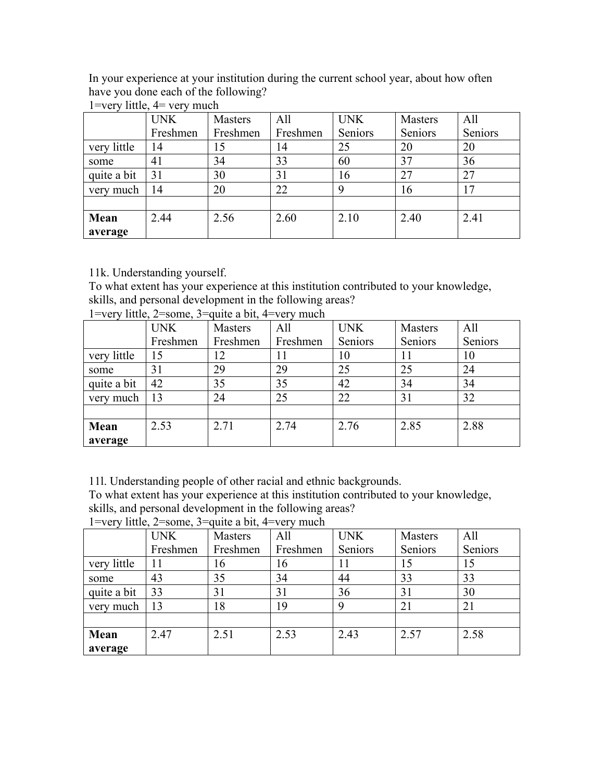In your experience at your institution during the current school year, about how often have you done each of the following?

|             | <b>UNK</b> | <b>Masters</b> | All      | <b>UNK</b> | <b>Masters</b> | All     |
|-------------|------------|----------------|----------|------------|----------------|---------|
|             | Freshmen   | Freshmen       | Freshmen | Seniors    | Seniors        | Seniors |
| very little | 14         | 15             | 14       | 25         | 20             | 20      |
| some        | 41         | 34             | 33       | 60         | 37             | 36      |
| quite a bit | 31         | 30             | 31       | 16         | 27             | 27      |
| very much   | 14         | 20             | 22       | 9          | 16             | 17      |
|             |            |                |          |            |                |         |
| Mean        | 2.44       | 2.56           | 2.60     | 2.10       | 2.40           | 2.41    |
| average     |            |                |          |            |                |         |

1=very little, 4= very much

11k. Understanding yourself.

To what extent has your experience at this institution contributed to your knowledge, skills, and personal development in the following areas?

|             | <b>UNK</b> | Masters  | All      | <b>UNK</b> | Masters | All     |
|-------------|------------|----------|----------|------------|---------|---------|
|             | Freshmen   | Freshmen | Freshmen | Seniors    | Seniors | Seniors |
| very little | 15         | 12       | 11       | 10         | 11      | 10      |
| some        | 31         | 29       | 29       | 25         | 25      | 24      |
| quite a bit | 42         | 35       | 35       | 42         | 34      | 34      |
| very much   | 13         | 24       | 25       | 22         | 31      | 32      |
|             |            |          |          |            |         |         |
| Mean        | 2.53       | 2.71     | 2.74     | 2.76       | 2.85    | 2.88    |
| average     |            |          |          |            |         |         |

1=very little, 2=some, 3=quite a bit, 4=very much

11l. Understanding people of other racial and ethnic backgrounds.

To what extent has your experience at this institution contributed to your knowledge, skills, and personal development in the following areas?

|             | <b>UNK</b> | Masters  | All      | <b>UNK</b> | Masters | All     |
|-------------|------------|----------|----------|------------|---------|---------|
|             | Freshmen   | Freshmen | Freshmen | Seniors    | Seniors | Seniors |
| very little |            | 16       | 16       | 11         |         | 15      |
| some        | 43         | 35       | 34       | 44         | 33      | 33      |
| quite a bit | 33         | 31       | 31       | 36         | 31      | 30      |
| very much   | 13         | 18       | 19       | 9          | 21      | 21      |
|             |            |          |          |            |         |         |
| Mean        | 2.47       | 2.51     | 2.53     | 2.43       | 2.57    | 2.58    |
| average     |            |          |          |            |         |         |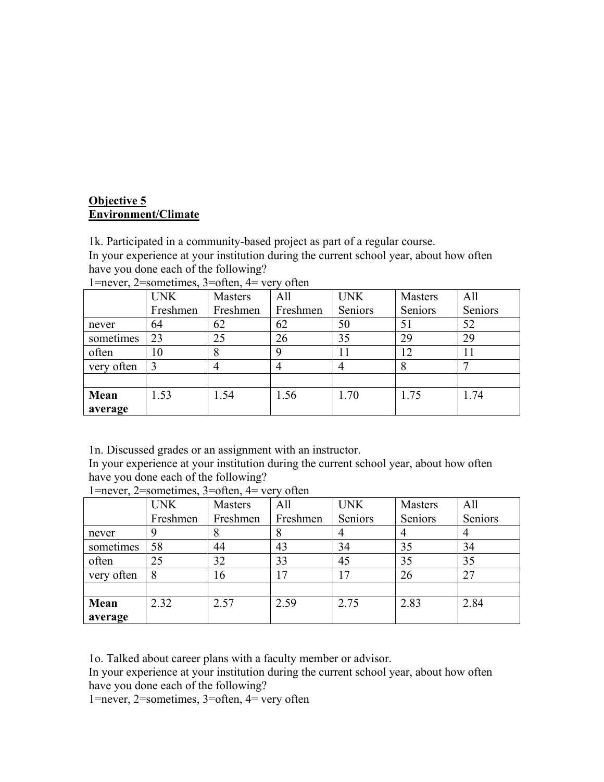## **Objective 5 Environment/Climate**

1k. Participated in a community-based project as part of a regular course. In your experience at your institution during the current school year, about how often

have you done each of the following?

|            | <b>UNK</b> | Masters  | All      | <b>UNK</b> | Masters | All     |
|------------|------------|----------|----------|------------|---------|---------|
|            | Freshmen   | Freshmen | Freshmen | Seniors    | Seniors | Seniors |
| never      | 64         | 62       | 62       | 50         | 51      | 52      |
| sometimes  | 23         | 25       | 26       | 35         | 29      | 29      |
| often      | 10         | 8        | Q        | 11         |         | 11      |
| very often |            | 4        |          |            |         |         |
|            |            |          |          |            |         |         |
| Mean       | 1.53       | 1.54     | 1.56     | 1.70       | 1.75    | 1.74    |
| average    |            |          |          |            |         |         |

|  |  | 1=never, 2=sometimes, 3=often, $4=$ very often |  |  |  |
|--|--|------------------------------------------------|--|--|--|
|--|--|------------------------------------------------|--|--|--|

1n. Discussed grades or an assignment with an instructor.

In your experience at your institution during the current school year, about how often have you done each of the following?

|            | <b>UNK</b> | Masters  | All      | <b>UNK</b> | Masters | All     |
|------------|------------|----------|----------|------------|---------|---------|
|            | Freshmen   | Freshmen | Freshmen | Seniors    | Seniors | Seniors |
| never      | 9          | 8        | 8        |            |         |         |
| sometimes  | 58         | 44       | 43       | 34         | 35      | 34      |
| often      | 25         | 32       | 33       | 45         | 35      | 35      |
| very often | 8          | 16       | 17       | 17         | 26      | 27      |
|            |            |          |          |            |         |         |
| Mean       | 2.32       | 2.57     | 2.59     | 2.75       | 2.83    | 2.84    |
| average    |            |          |          |            |         |         |

1=never, 2=sometimes, 3=often, 4= very often

1o. Talked about career plans with a faculty member or advisor.

In your experience at your institution during the current school year, about how often have you done each of the following?

1=never, 2=sometimes, 3=often, 4= very often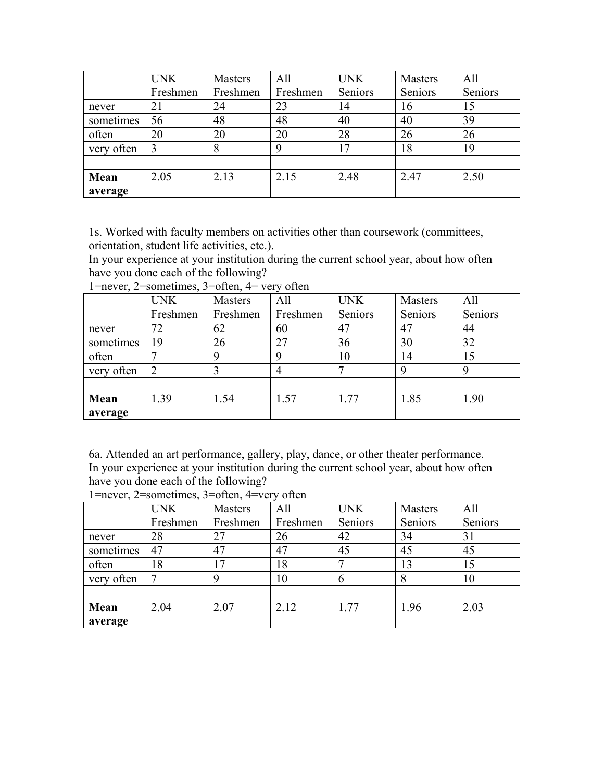|            | <b>UNK</b> | Masters  | All      | <b>UNK</b> | Masters | All     |
|------------|------------|----------|----------|------------|---------|---------|
|            | Freshmen   | Freshmen | Freshmen | Seniors    | Seniors | Seniors |
| never      | 21         | 24       | 23       | 14         | 16      | 15      |
| sometimes  | 56         | 48       | 48       | 40         | 40      | 39      |
| often      | 20         | 20       | 20       | 28         | 26      | 26      |
| very often |            | 8        | 9        | 17         | 18      | 19      |
|            |            |          |          |            |         |         |
| Mean       | 2.05       | 2.13     | 2.15     | 2.48       | 2.47    | 2.50    |
| average    |            |          |          |            |         |         |

1s. Worked with faculty members on activities other than coursework (committees, orientation, student life activities, etc.).

In your experience at your institution during the current school year, about how often have you done each of the following?

|            | <b>UNK</b>     | Masters  | All      | <b>UNK</b> | Masters | All     |
|------------|----------------|----------|----------|------------|---------|---------|
|            | Freshmen       | Freshmen | Freshmen | Seniors    | Seniors | Seniors |
| never      | 72             | 62       | 60       | 47         | 47      | 44      |
| sometimes  | 19             | 26       | 27       | 36         | 30      | 32      |
| often      |                | 9        | 9        | 10         | 14      | 15      |
| very often | $\overline{2}$ |          | 4        |            | a       |         |
|            |                |          |          |            |         |         |
| Mean       | 1.39           | 1.54     | 1.57     | 1.77       | 1.85    | 1.90    |
| average    |                |          |          |            |         |         |

1=never, 2=sometimes, 3=often, 4= very often

6a. Attended an art performance, gallery, play, dance, or other theater performance. In your experience at your institution during the current school year, about how often have you done each of the following?

|            | <b>UNK</b> | Masters  | All      | <b>UNK</b> | Masters | All     |
|------------|------------|----------|----------|------------|---------|---------|
|            | Freshmen   | Freshmen | Freshmen | Seniors    | Seniors | Seniors |
| never      | 28         | 27       | 26       | 42         | 34      | 31      |
| sometimes  | 47         | 47       | 47       | 45         | 45      | 45      |
| often      | 18         | 17       | 18       |            | 13      | 15      |
| very often |            | 9        | 10       | 6          | 8       | 10      |
|            |            |          |          |            |         |         |
| Mean       | 2.04       | 2.07     | 2.12     | 1.77       | 1.96    | 2.03    |
| average    |            |          |          |            |         |         |

1=never, 2=sometimes, 3=often, 4=very often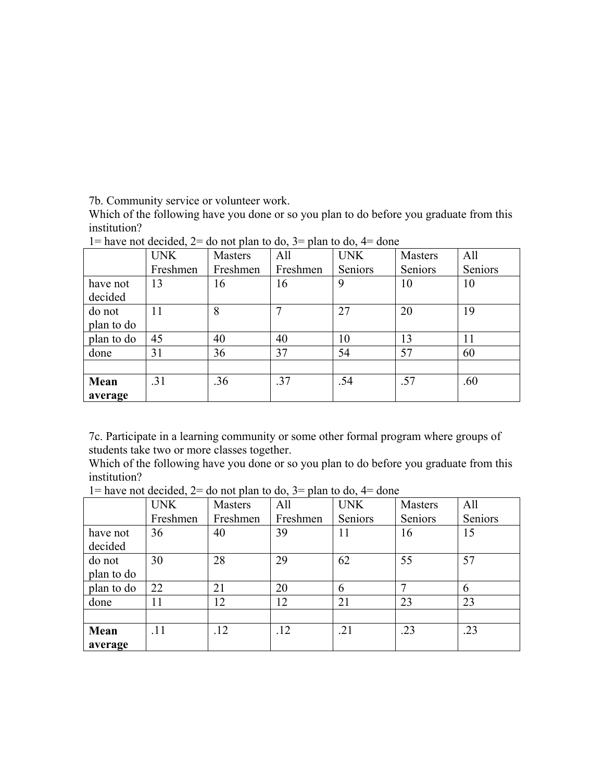7b. Community service or volunteer work.

Which of the following have you done or so you plan to do before you graduate from this institution?

|            | <b>UNK</b> | <b>Masters</b> | All      | <b>UNK</b> | <b>Masters</b> | All     |
|------------|------------|----------------|----------|------------|----------------|---------|
|            | Freshmen   | Freshmen       | Freshmen | Seniors    | Seniors        | Seniors |
| have not   | 13         | 16             | 16       | 9          | 10             | 10      |
| decided    |            |                |          |            |                |         |
| do not     | 11         | 8              |          | 27         | 20             | 19      |
| plan to do |            |                |          |            |                |         |
| plan to do | 45         | 40             | 40       | 10         | 13             | 11      |
| done       | 31         | 36             | 37       | 54         | 57             | 60      |
|            |            |                |          |            |                |         |
| Mean       | .31        | .36            | .37      | .54        | .57            | .60     |
| average    |            |                |          |            |                |         |

 $1 =$  have not decided,  $2 =$  do not plan to do,  $3 =$  plan to do,  $4 =$  done

7c. Participate in a learning community or some other formal program where groups of students take two or more classes together.

Which of the following have you done or so you plan to do before you graduate from this institution?

|            | <b>UNK</b> | Masters  | All      | <b>UNK</b> | Masters | All     |
|------------|------------|----------|----------|------------|---------|---------|
|            | Freshmen   | Freshmen | Freshmen | Seniors    | Seniors | Seniors |
| have not   | 36         | 40       | 39       | 11         | 16      | 15      |
| decided    |            |          |          |            |         |         |
| do not     | 30         | 28       | 29       | 62         | 55      | 57      |
| plan to do |            |          |          |            |         |         |
| plan to do | 22         | 21       | 20       | 6          |         | 6       |
| done       | 11         | 12       | 12       | 21         | 23      | 23      |
|            |            |          |          |            |         |         |
| Mean       | .11        | .12      | .12      | .21        | .23     | .23     |
| average    |            |          |          |            |         |         |

 $1=$  have not decided,  $2=$  do not plan to do,  $3=$  plan to do,  $4=$  done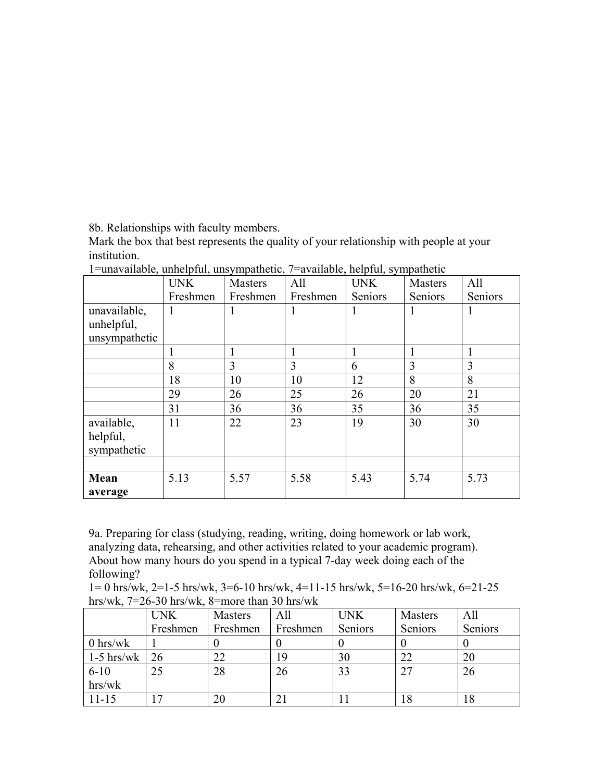8b. Relationships with faculty members.

Mark the box that best represents the quality of your relationship with people at your institution.

| $\mathbf{r}$ and vandole, and propring impactivity, revailable, heipith, sympathetic | <b>UNK</b> | Masters  | All      | <b>UNK</b> | <b>Masters</b> | All     |
|--------------------------------------------------------------------------------------|------------|----------|----------|------------|----------------|---------|
|                                                                                      | Freshmen   | Freshmen | Freshmen | Seniors    | Seniors        | Seniors |
| unavailable,                                                                         |            |          |          | 1          |                |         |
| unhelpful,                                                                           |            |          |          |            |                |         |
| unsympathetic                                                                        |            |          |          |            |                |         |
|                                                                                      |            |          |          | 1          |                |         |
|                                                                                      | 8          | 3        | 3        | 6          | 3              | 3       |
|                                                                                      | 18         | 10       | 10       | 12         | 8              | 8       |
|                                                                                      | 29         | 26       | 25       | 26         | 20             | 21      |
|                                                                                      | 31         | 36       | 36       | 35         | 36             | 35      |
| available,                                                                           | 11         | 22       | 23       | 19         | 30             | 30      |
| helpful,                                                                             |            |          |          |            |                |         |
| sympathetic                                                                          |            |          |          |            |                |         |
|                                                                                      |            |          |          |            |                |         |
| Mean                                                                                 | 5.13       | 5.57     | 5.58     | 5.43       | 5.74           | 5.73    |
| average                                                                              |            |          |          |            |                |         |

 $1=$ unavailable, unhelpful, unsympathetic,  $7=$ available, helpful, sympathetic,

9a. Preparing for class (studying, reading, writing, doing homework or lab work, analyzing data, rehearsing, and other activities related to your academic program). About how many hours do you spend in a typical 7-day week doing each of the following?

 $1= 0$  hrs/wk,  $2=1-5$  hrs/wk,  $3=6-10$  hrs/wk,  $4=11-15$  hrs/wk,  $5=16-20$  hrs/wk,  $6=21-25$ hrs/wk, 7=26-30 hrs/wk, 8=more than 30 hrs/wk

|              | <b>UNK</b> | Masters  | All      | <b>UNK</b> | Masters | All     |
|--------------|------------|----------|----------|------------|---------|---------|
|              | Freshmen   | Freshmen | Freshmen | Seniors    | Seniors | Seniors |
| $0$ hrs/wk   |            |          |          |            |         |         |
| $1-5$ hrs/wk | 26         | 22       | 19       | 30         | 22      | 20      |
| $6 - 10$     | 25         | 28       | 26       | 33         |         | 26      |
| hrs/wk       |            |          |          |            |         |         |
| $11 - 15$    |            | 20       |          |            | 18      | 18      |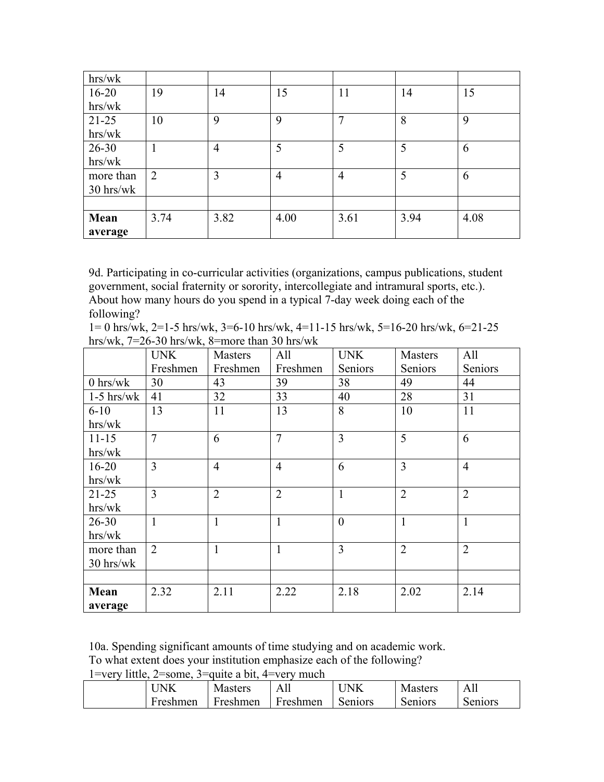| hrs/wk    |                |                |                |                |      |      |
|-----------|----------------|----------------|----------------|----------------|------|------|
| $16 - 20$ | 19             | 14             | 15             | 11             | 14   | 15   |
| hrs/wk    |                |                |                |                |      |      |
| $21 - 25$ | 10             | 9              | 9              | 7              | 8    | 9    |
| hrs/wk    |                |                |                |                |      |      |
| $26 - 30$ | 1              | $\overline{4}$ | 5              | 5              | 5    | 6    |
| hrs/wk    |                |                |                |                |      |      |
| more than | $\overline{2}$ | 3              | $\overline{4}$ | $\overline{4}$ | 5    | 6    |
| 30 hrs/wk |                |                |                |                |      |      |
|           |                |                |                |                |      |      |
| Mean      | 3.74           | 3.82           | 4.00           | 3.61           | 3.94 | 4.08 |
| average   |                |                |                |                |      |      |

9d. Participating in co-curricular activities (organizations, campus publications, student government, social fraternity or sorority, intercollegiate and intramural sports, etc.). About how many hours do you spend in a typical 7-day week doing each of the following?

1= 0 hrs/wk, 2=1-5 hrs/wk, 3=6-10 hrs/wk, 4=11-15 hrs/wk, 5=16-20 hrs/wk, 6=21-25 hrs/wk, 7=26-30 hrs/wk, 8=more than 30 hrs/wk

|              | <b>UNK</b>     | <b>Masters</b> | All            | <b>UNK</b>     | Masters        | All            |
|--------------|----------------|----------------|----------------|----------------|----------------|----------------|
|              | Freshmen       | Freshmen       | Freshmen       | Seniors        | Seniors        | Seniors        |
| $0$ hrs/wk   | 30             | 43             | 39             | 38             | 49             | 44             |
| $1-5$ hrs/wk | 41             | 32             | 33             | 40             | 28             | 31             |
| $6 - 10$     | 13             | 11             | 13             | 8              | 10             | 11             |
| hrs/wk       |                |                |                |                |                |                |
| $11 - 15$    | $\overline{7}$ | 6              | $\overline{7}$ | $\overline{3}$ | 5              | 6              |
| hrs/wk       |                |                |                |                |                |                |
| $16 - 20$    | $\overline{3}$ | $\overline{4}$ | $\overline{4}$ | 6              | $\overline{3}$ | $\overline{4}$ |
| hrs/wk       |                |                |                |                |                |                |
| $21 - 25$    | 3              | $\overline{2}$ | $\overline{2}$ | $\mathbf{1}$   | $\overline{2}$ | $\overline{2}$ |
| hrs/wk       |                |                |                |                |                |                |
| $26 - 30$    | $\mathbf{1}$   | $\mathbf{1}$   | $\mathbf{1}$   | $\overline{0}$ | $\mathbf{1}$   | $\mathbf{1}$   |
| hrs/wk       |                |                |                |                |                |                |
| more than    | $\overline{2}$ | $\mathbf{1}$   | $\mathbf{1}$   | $\overline{3}$ | $\overline{2}$ | $\overline{2}$ |
| 30 hrs/wk    |                |                |                |                |                |                |
|              |                |                |                |                |                |                |
| Mean         | 2.32           | 2.11           | 2.22           | 2.18           | 2.02           | 2.14           |
| average      |                |                |                |                |                |                |

10a. Spending significant amounts of time studying and on academic work.

To what extent does your institution emphasize each of the following?

| 'NK      | <b>Masters</b> | д<br>7. VII | $\Delta$ | Masters | Δ<br>.  |
|----------|----------------|-------------|----------|---------|---------|
| Freshmen | Freshmen       | Freshmen    | Seniors  | Seniors | Seniors |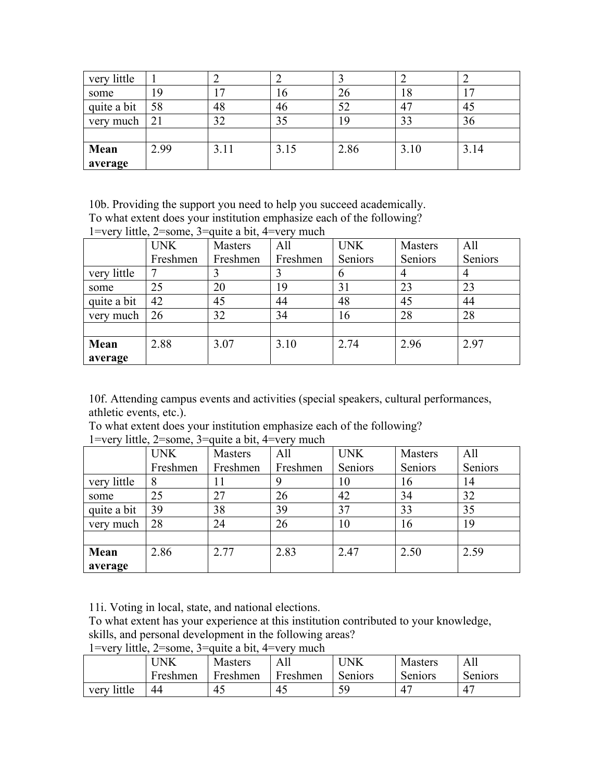| very little |      |      |      |      |      |      |
|-------------|------|------|------|------|------|------|
| some        | 19   |      | 16   | 26   | 10   | 17   |
| quite a bit | 58   | 48   | 46   | 52   | 47   | 45   |
| very much   | 21   | 32   | 35   | 1 G  | 33   | 36   |
|             |      |      |      |      |      |      |
| Mean        | 2.99 | 3.11 | 3.15 | 2.86 | 3.10 | 3.14 |
| average     |      |      |      |      |      |      |

10b. Providing the support you need to help you succeed academically.

To what extent does your institution emphasize each of the following?

|             | <b>UNK</b> | Masters  | All      | <b>UNK</b> | <b>Masters</b> | All     |
|-------------|------------|----------|----------|------------|----------------|---------|
|             | Freshmen   | Freshmen | Freshmen | Seniors    | Seniors        | Seniors |
| very little | 7          |          |          | 6          | $\overline{4}$ | 4       |
| some        | 25         | 20       | 19       | 31         | 23             | 23      |
| quite a bit | 42         | 45       | 44       | 48         | 45             | 44      |
| very much   | 26         | 32       | 34       | 16         | 28             | 28      |
|             |            |          |          |            |                |         |
| Mean        | 2.88       | 3.07     | 3.10     | 2.74       | 2.96           | 2.97    |
| average     |            |          |          |            |                |         |

1=very little,  $2$ =some,  $3$ =quite a bit,  $4$ =very much

10f. Attending campus events and activities (special speakers, cultural performances, athletic events, etc.).

To what extent does your institution emphasize each of the following?

| $\cdot$ $\cdot$ $\cdot$ $\cdot$<br>$   -$ | <b>UNK</b> | $-$<br><b>Masters</b> | All      | <b>UNK</b> | <b>Masters</b> | All     |
|-------------------------------------------|------------|-----------------------|----------|------------|----------------|---------|
|                                           | Freshmen   | Freshmen              | Freshmen | Seniors    | Seniors        | Seniors |
| very little                               | 8          |                       |          | 10         | 16             | 14      |
| some                                      | 25         | 27                    | 26       | 42         | 34             | 32      |
| quite a bit                               | 39         | 38                    | 39       | 37         | 33             | 35      |
| very much                                 | 28         | 24                    | 26       | 10         | 16             | 19      |
|                                           |            |                       |          |            |                |         |
| Mean                                      | 2.86       | 2.77                  | 2.83     | 2.47       | 2.50           | 2.59    |
| average                                   |            |                       |          |            |                |         |

1=very little, 2=some, 3=quite a bit, 4=very much

11i. Voting in local, state, and national elections.

To what extent has your experience at this institution contributed to your knowledge, skills, and personal development in the following areas?

1=very little,  $2$ =some,  $3$ =quite a bit, 4=very much

|                | JNK      | <b>Masters</b> | AП       | ' JNK   | <b>Masters</b>  | Ah            |
|----------------|----------|----------------|----------|---------|-----------------|---------------|
|                | Freshmen | Freshmen       | Freshmen | Seniors | Seniors         | Seniors       |
| little<br>very | 44       | 45             | -45      | 5C      | $\mathcal{A}^-$ | $\Lambda^{-}$ |